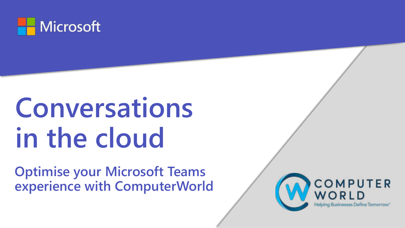

# **Conversations in the cloud**

**Optimise your Microsoft Teams experience with ComputerWorld**

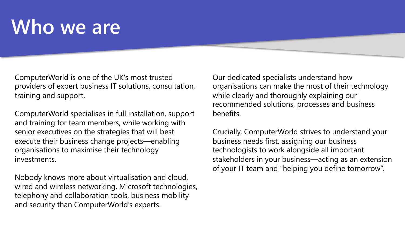## **Who we are**

ComputerWorld is one of the UK's most trusted providers of expert business IT solutions, consultation, training and support.

ComputerWorld specialises in full installation, support and training for team members, while working with senior executives on the strategies that will best execute their business change projects—enabling organisations to maximise their technology investments.

Nobody knows more about virtualisation and cloud, wired and wireless networking, Microsoft technologies, telephony and collaboration tools, business mobility and security than ComputerWorld's experts.

Our dedicated specialists understand how organisations can make the most of their technology while clearly and thoroughly explaining our recommended solutions, processes and business benefits.

Crucially, ComputerWorld strives to understand your business needs first, assigning our business technologists to work alongside all important stakeholders in your business—acting as an extension of your IT team and "helping you define tomorrow".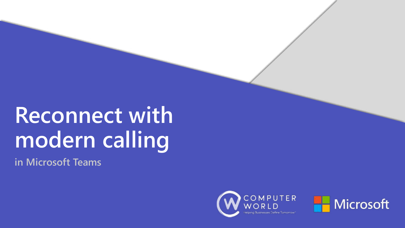# **Reconnect with modern calling**

**in Microsoft Teams**



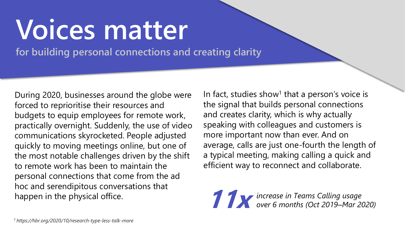# **Voices matter**

**for building personal connections and creating clarity**

During 2020, businesses around the globe were forced to reprioritise their resources and budgets to equip employees for remote work, practically overnight. Suddenly, the use of video communications skyrocketed. People adjusted quickly to moving meetings online, but one of the most notable challenges driven by the shift to remote work has been to maintain the personal connections that come from the ad hoc and serendipitous conversations that happen in the physical office.

In fact, studies show<sup>1</sup> that a person's voice is the signal that builds personal connections and creates clarity, which is why actually speaking with colleagues and customers is more important now than ever. And on average, calls are just one-fourth the length of a typical meeting, making calling a quick and efficient way to reconnect and collaborate.

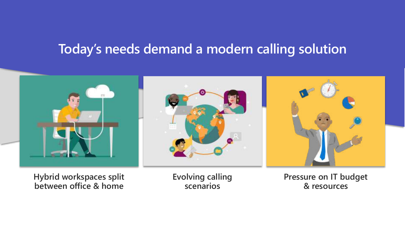## **Today's needs demand a modern calling solution**



**Hybrid workspaces split between office & home**

**Evolving calling scenarios**

**Pressure on IT budget & resources**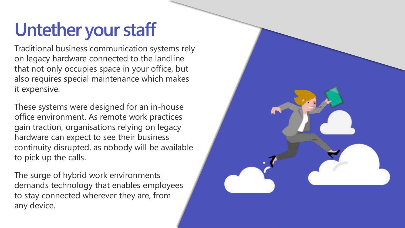## **Untether your staff**

Traditional business communication systems rely on legacy hardware connected to the landline that not only occupies space in your office, but also requires special maintenance which makes it expensive.

These systems were designed for an in-house office environment. As remote work practices gain traction, organisations relying on legacy hardware can expect to see their business continuity disrupted, as nobody will be available to pick up the calls.

The surge of hybrid work environments demands technology that enables employees to stay connected wherever they are, from any device.

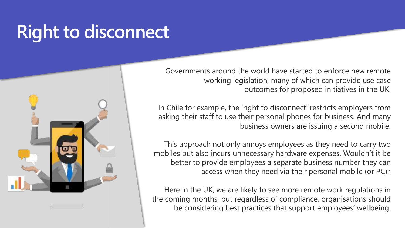## **Right to disconnect**



Governments around the world have started to enforce new remote working legislation, many of which can provide use case outcomes for proposed initiatives in the UK.

In Chile for example, the 'right to disconnect' restricts employers from asking their staff to use their personal phones for business. And many business owners are issuing a second mobile.

This approach not only annoys employees as they need to carry two mobiles but also incurs unnecessary hardware expenses. Wouldn't it be better to provide employees a separate business number they can access when they need via their personal mobile (or PC)?

Here in the UK, we are likely to see more remote work regulations in the coming months, but regardless of compliance, organisations should be considering best practices that support employees' wellbeing.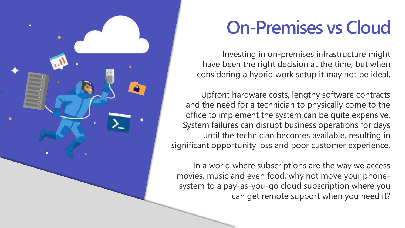

## **On-Premises vs Cloud**

Investing in on-premises infrastructure might have been the right decision at the time, but when considering a hybrid work setup it may not be ideal.

Upfront hardware costs, lengthy software contracts and the need for a technician to physically come to the office to implement the system can be quite expensive. System failures can disrupt business operations for days until the technician becomes available, resulting in significant opportunity loss and poor customer experience.

In a world where subscriptions are the way we access movies, music and even food, why not move your phonesystem to a pay-as-you-go cloud subscription where you can get remote support when you need it?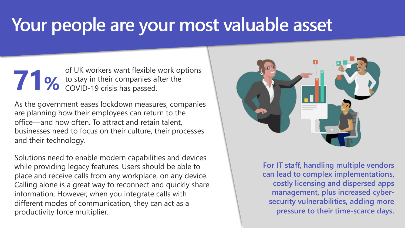## **Your people are your most valuable asset**

**71%** of UK workers want flexible work options to stay in their companies after the COVID-19 crisis has passed.

As the government eases lockdown measures, companies are planning how their employees can return to the office—and how often. To attract and retain talent, businesses need to focus on their culture, their processes and their technology.

Solutions need to enable modern capabilities and devices while providing legacy features. Users should be able to place and receive calls from any workplace, on any device. Calling alone is a great way to reconnect and quickly share information. However, when you integrate calls with different modes of communication, they can act as a productivity force multiplier.



**For IT staff, handling multiple vendors can lead to complex implementations, costly licensing and dispersed apps management, plus increased cybersecurity vulnerabilities, adding more pressure to their time-scarce days.**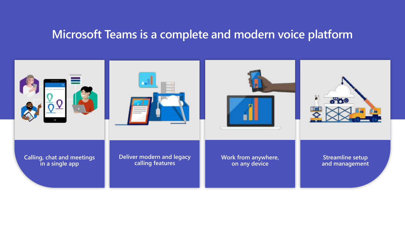### **Microsoft Teams is a complete and modern voice platform**

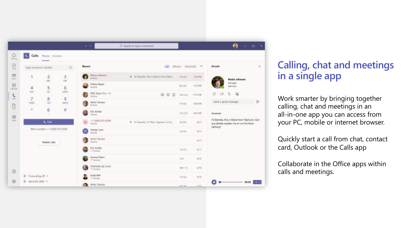

### **Calling, chat and meetings in a single app**

Work smarter by bringing together calling, chat and meetings in an all-in-one app you can access from your PC, mobile or internet browser.

Quickly start a call from chat, contact card, Outlook or the Calls app

Collaborate in the Office apps within calls and meetings.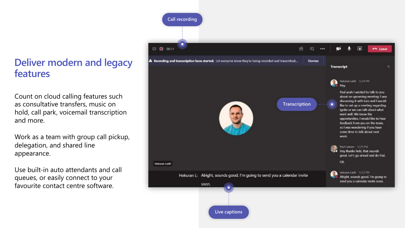### **Deliver modern and legacy features**

Count on cloud calling features such as consultative transfers, music on hold, call park, voicemail transcription and more.

Work as a team with group call pickup, delegation, and shared line appearance.

Use built-in auto attendants and call queues, or easily connect to your favourite contact centre software.

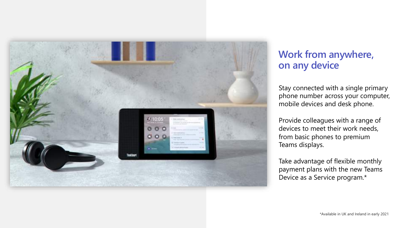

### **Work from anywhere, on any device**

Stay connected with a single primary phone number across your computer, mobile devices and desk phone.

Provide colleagues with a range of devices to meet their work needs, from basic phones to premium Teams displays.

Take advantage of flexible monthly payment plans with the new Teams Device as a Service program.\*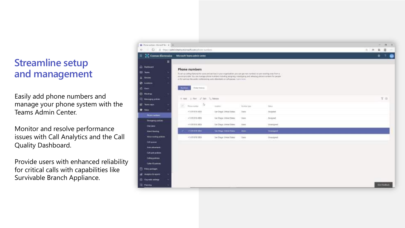### **Streamline setup and management**

Easily add phone numbers and manage your phone system with the Teams Admin Center.

Monitor and resolve performance issues with Call Analytics and the Call Quality Dashboard.

Provide users with enhanced reliability for critical calls with capabilities like Survivable Branch Appliance.

| Documentation (Notice Co., in 1944) |                                                                                                                                                                                                                 |                          |                 |                                  |  |       | $\equiv$ | $\sigma$            | $\sim$ |
|-------------------------------------|-----------------------------------------------------------------------------------------------------------------------------------------------------------------------------------------------------------------|--------------------------|-----------------|----------------------------------|--|-------|----------|---------------------|--------|
|                                     | C B https://admin.teams.miprosoft.com/phote-sumbers                                                                                                                                                             |                          |                 |                                  |  | 自由单盘一 |          |                     |        |
| Control Electronics                 | Microsoft Teams administrated                                                                                                                                                                                   |                          |                 |                                  |  |       | ۰        | -91                 | ۰      |
| Ξ                                   |                                                                                                                                                                                                                 |                          |                 |                                  |  |       |          |                     |        |
| <b>CLEROUT</b>                      | Phone numbers                                                                                                                                                                                                   |                          |                 |                                  |  |       |          |                     |        |
| <b>M. Terms</b>                     | To set op colling fasteres far sent and perceps to your organisation, you can get new members at part easiling your flows a                                                                                     |                          |                 |                                  |  |       |          |                     |        |
| <b>Covers</b>                       | service provider. You can 4 unage phone europes including lessgrang, simplicating and releasing phone numbers for people<br>on for assured the world conferencing, with obtentiations of gastate. Issues recen- |                          |                 |                                  |  |       |          |                     |        |
| a comme                             |                                                                                                                                                                                                                 |                          |                 |                                  |  |       |          |                     |        |
| $5 - 0$ and                         | Circle Eleitric                                                                                                                                                                                                 |                          |                 |                                  |  |       |          |                     |        |
| <b>Hookey</b>                       |                                                                                                                                                                                                                 |                          |                 |                                  |  |       |          |                     |        |
| <b>Mensions</b> professor           | - For 2 121 1 Roses<br>$+ Att$                                                                                                                                                                                  |                          |                 |                                  |  |       |          | 7.0                 |        |
| ρ.<br><b>Scott regist</b>           | ı,<br>R.<br>Phone tutcher                                                                                                                                                                                       | <b>Jackson</b>           | <b>SHOW</b> THE | TARGA.                           |  |       |          |                     |        |
| <b>C</b> View                       | $+1679.0164635$                                                                                                                                                                                                 | Tem Diego, United States | <b>Users</b>    | record.                          |  |       |          |                     |        |
| <b>Phone manifest</b>               | +1412 816-4800                                                                                                                                                                                                  | Tan Deps Shiftet Steel   | <b>Links</b>    | Angred                           |  |       |          |                     |        |
| <b>Insurance</b><br>Did plane       | $+169.116333$                                                                                                                                                                                                   | Lar Dega United Diseas   | 1.5461          | <b>Linking Hell</b>              |  |       |          |                     |        |
| Died Sudru                          | <b>HARRY HOLE</b>                                                                                                                                                                                               | In Days Drive Bone.      | There.          | <b><i><u>Descriptive</u></i></b> |  |       |          |                     |        |
| <b>Welleville Big Jobbini</b>       | +1619 818.3855                                                                                                                                                                                                  | San Diego, Univer States | Alert           | Unestpact                        |  |       |          |                     |        |
| <b>Call economic</b>                |                                                                                                                                                                                                                 |                          |                 |                                  |  |       |          |                     |        |
| Auto advertisers:                   |                                                                                                                                                                                                                 |                          |                 |                                  |  |       |          |                     |        |
| <b>Call parts policies</b>          |                                                                                                                                                                                                                 |                          |                 |                                  |  |       |          |                     |        |
| Caling policies                     |                                                                                                                                                                                                                 |                          |                 |                                  |  |       |          |                     |        |
| Caller Dynaster                     |                                                                                                                                                                                                                 |                          |                 |                                  |  |       |          |                     |        |
| 1 Religiouslages                    |                                                                                                                                                                                                                 |                          |                 |                                  |  |       |          |                     |        |
| A Analytics Bungaritz               |                                                                                                                                                                                                                 |                          |                 |                                  |  |       |          |                     |        |
| <b>Op with settings</b>             |                                                                                                                                                                                                                 |                          |                 |                                  |  |       |          |                     |        |
| 2 forms                             |                                                                                                                                                                                                                 |                          |                 |                                  |  |       |          | <b>Greetbeckerk</b> |        |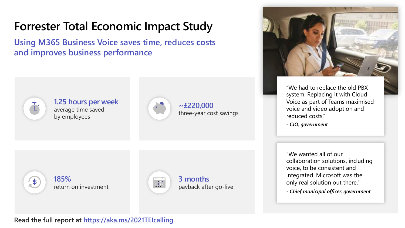## **Forrester Total Economic Impact Study**

**Using M365 Business Voice saves time, reduces costs and improves business performance**



 $\frac{4}{5}$ 

#### **1.25 hours per week** average time saved by employees



**~£220,000** three-year cost savings



"We had to replace the old PBX system. Replacing it with Cloud Voice as part of Teams maximised voice and video adoption and reduced costs."

**-** *CIO, government*

"We wanted all of our collaboration solutions, including voice, to be consistent and integrated. Microsoft was the only real solution out there."

**-** *Chief municipal officer, government*





**3 months** payback after go-live

#### Read the full report at <https://aka.ms/2021TEIcalling>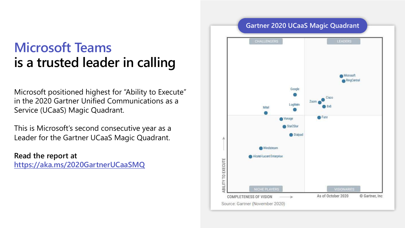## **Microsoft Teams is a trusted leader in calling**

Microsoft positioned highest for "Ability to Execute" in the 2020 Gartner Unified Communications as a Service (UCaaS) Magic Quadrant.

This is Microsoft's second consecutive year as a Leader for the Gartner UCaaS Magic Quadrant.

**Read the report at <https://aka.ms/2020GartnerUCaaSMQ>**

### **Gartner 2020 UCaaS Magic Quadrant**

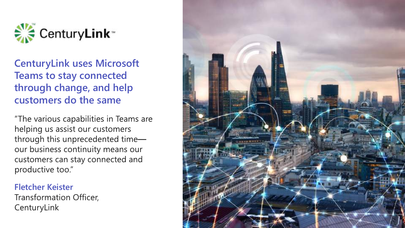

### **CenturyLink uses Microsoft Teams to stay connected through change, and help customers do the same**

"The various capabilities in Teams are helping us assist our customers through this unprecedented timeour business continuity means our customers can stay connected and productive too."

#### **Fletcher Keister**

**Transformation Officer,** CenturyLink

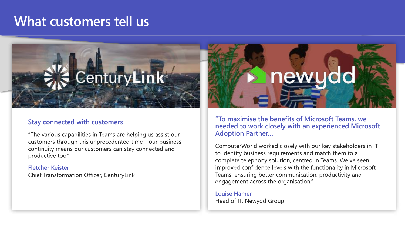## **What customers tell us**



#### **Stay connected with customers**

"The various capabilities in Teams are helping us assist our customers through this unprecedented time-our business continuity means our customers can stay connected and productive too."

#### **Fletcher Keister**

Chief Transformation Officer, CenturyLink



**"To maximise the benefits of Microsoft Teams, we needed to work closely with an experienced Microsoft Adoption Partner…**

ComputerWorld worked closely with our key stakeholders in IT to identify business requirements and match them to a complete telephony solution, centred in Teams. We've seen improved confidence levels with the functionality in Microsoft Teams, ensuring better communication, productivity and engagement across the organisation."

**Louise Hamer** Head of IT, Newydd Group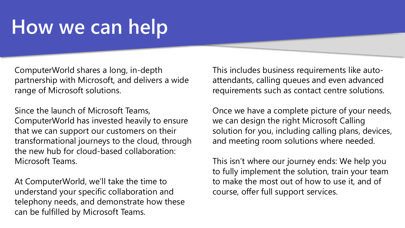## **How we can help**

ComputerWorld shares a long, in-depth partnership with Microsoft, and delivers a wide range of Microsoft solutions.

Since the launch of Microsoft Teams, ComputerWorld has invested heavily to ensure that we can support our customers on their transformational journeys to the cloud, through the new hub for cloud-based collaboration: Microsoft Teams.

At ComputerWorld, we'll take the time to understand your specific collaboration and telephony needs, and demonstrate how these can be fulfilled by Microsoft Teams.

This includes business requirements like autoattendants, calling queues and even advanced requirements such as contact centre solutions.

Once we have a complete picture of your needs, we can design the right Microsoft Calling solution for you, including calling plans, devices, and meeting room solutions where needed.

This isn't where our journey ends: We help you to fully implement the solution, train your team to make the most out of how to use it, and of course, offer full support services.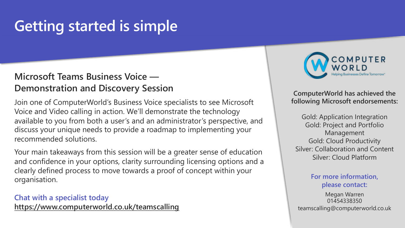## **Getting started is simple**

#### **Microsoft Teams Business Voice — Demonstration and Discovery Session**

Join one of ComputerWorld's Business Voice specialists to see Microsoft Voice and Video calling in action. We'll demonstrate the technology available to you from both a user's and an administrator's perspective, and discuss your unique needs to provide a roadmap to implementing your recommended solutions.

Your main takeaways from this session will be a greater sense of education and confidence in your options, clarity surrounding licensing options and a clearly defined process to move towards a proof of concept within your organisation.

**Chat with a specialist today <https://www.computerworld.co.uk/teamscalling>**



**ComputerWorld has achieved the following Microsoft endorsements:**

Gold: Application Integration Gold: Project and Portfolio Management Gold: Cloud Productivity Silver: Collaboration and Content Silver: Cloud Platform

#### **For more information, please contact:**

Megan Warren 01454338350 teamscalling@computerworld.co.uk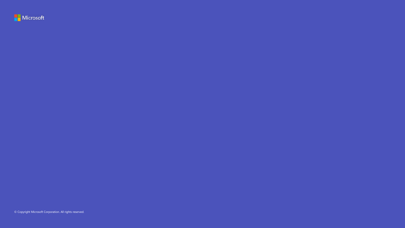